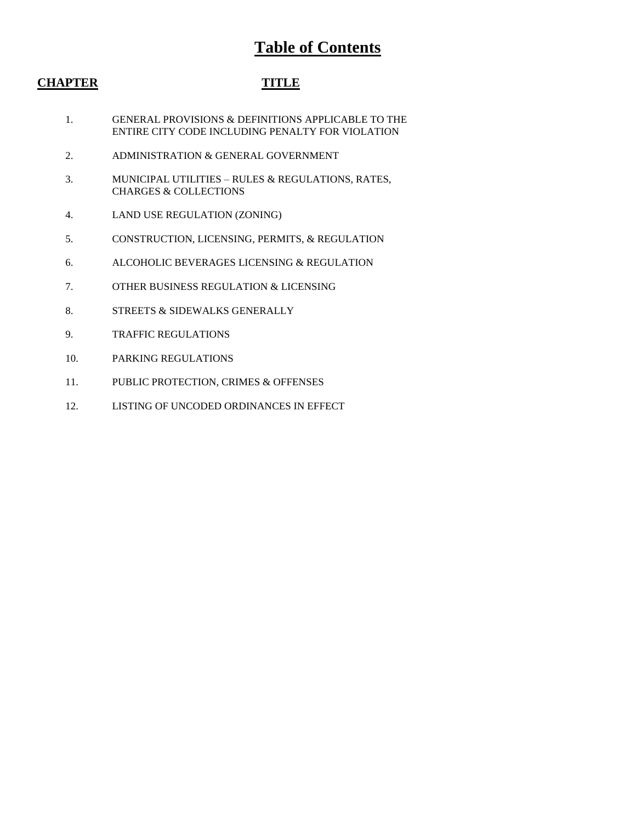# **Table of Contents**

# **CHAPTER TITLE**

- 1. GENERAL PROVISIONS & DEFINITIONS APPLICABLE TO THE ENTIRE CITY CODE INCLUDING PENALTY FOR VIOLATION
- 2. ADMINISTRATION & GENERAL GOVERNMENT
- 3. MUNICIPAL UTILITIES RULES & REGULATIONS, RATES, CHARGES & COLLECTIONS
- 4. LAND USE REGULATION (ZONING)
- 5. CONSTRUCTION, LICENSING, PERMITS, & REGULATION
- 6. ALCOHOLIC BEVERAGES LICENSING & REGULATION
- 7. OTHER BUSINESS REGULATION & LICENSING
- 8. STREETS & SIDEWALKS GENERALLY
- 9. TRAFFIC REGULATIONS
- 10. PARKING REGULATIONS
- 11. PUBLIC PROTECTION, CRIMES & OFFENSES
- 12. LISTING OF UNCODED ORDINANCES IN EFFECT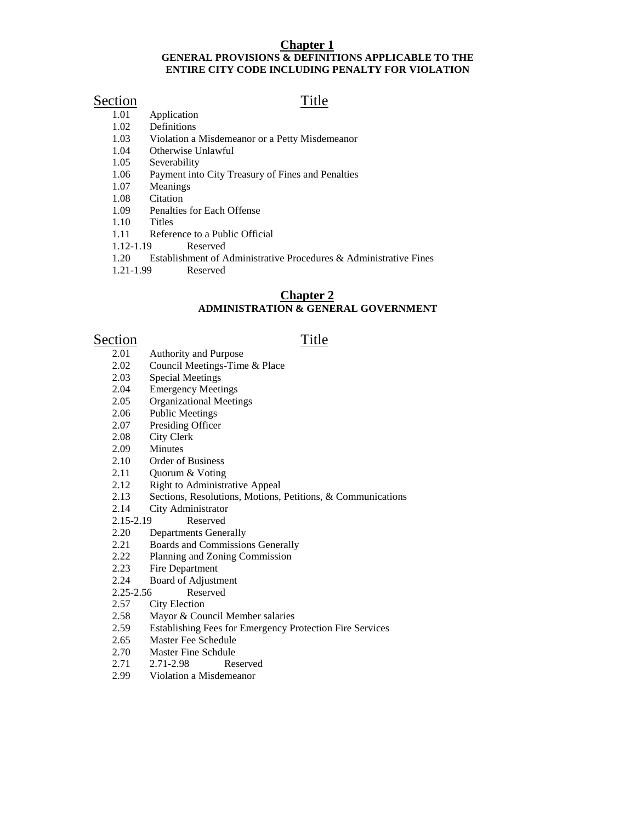### **Chapter 1 GENERAL PROVISIONS & DEFINITIONS APPLICABLE TO THE ENTIRE CITY CODE INCLUDING PENALTY FOR VIOLATION**

- $Section$  1.01 Application Title Application
	- 1.02 Definitions
	- 1.03 Violation a Misdemeanor or a Petty Misdemeanor
	- 1.04 Otherwise Unlawful
	- 1.05 Severability
	- 1.06 Payment into City Treasury of Fines and Penalties
	- 1.07 Meanings
	- 1.08 Citation
	- 1.09 Penalties for Each Offense
	- 1.10 Titles
	- 1.11 Reference to a Public Official
	- 1.12-1.19 Reserved
	- 1.20 Establishment of Administrative Procedures & Administrative Fines
	- 1.21-1.99 Reserved

## **Chapter 2 ADMINISTRATION & GENERAL GOVERNMENT**

- $Section$ <br>2.01 Authority and Purpose Title 2.01 Authority and Purpose<br>2.02 Council Meetings-Tim
	- Council Meetings-Time & Place
	- 2.03 Special Meetings
	- 2.04 Emergency Meetings
	- 2.05 Organizational Meetings
	- 2.06 Public Meetings
	- 2.07 Presiding Officer
	- 2.08 City Clerk
	- 2.09 Minutes
	- 2.10 Order of Business
	- 2.11 Quorum & Voting
	- 2.12 Right to Administrative Appeal<br>2.13 Sections, Resolutions, Motions,
	- 2.13 Sections, Resolutions, Motions, Petitions, & Communications<br>2.14 City Administrator
	- City Administrator
	- 2.15-2.19 Reserved
	- 2.20 Departments Generally
	- 2.21 Boards and Commissions Generally
	- 2.22 Planning and Zoning Commission
	- 2.23 Fire Department
	- 2.24 Board of Adjustment
	- 2.25-2.56 Reserved
	- 2.57 City Election
	- 2.58 Mayor & Council Member salaries
	- 2.59 Establishing Fees for Emergency Protection Fire Services
	- 2.65 Master Fee Schedule
	- 2.70 Master Fine Schdule
	- 2.71 2.71-2.98 Reserved
	- 2.99 Violation a Misdemeanor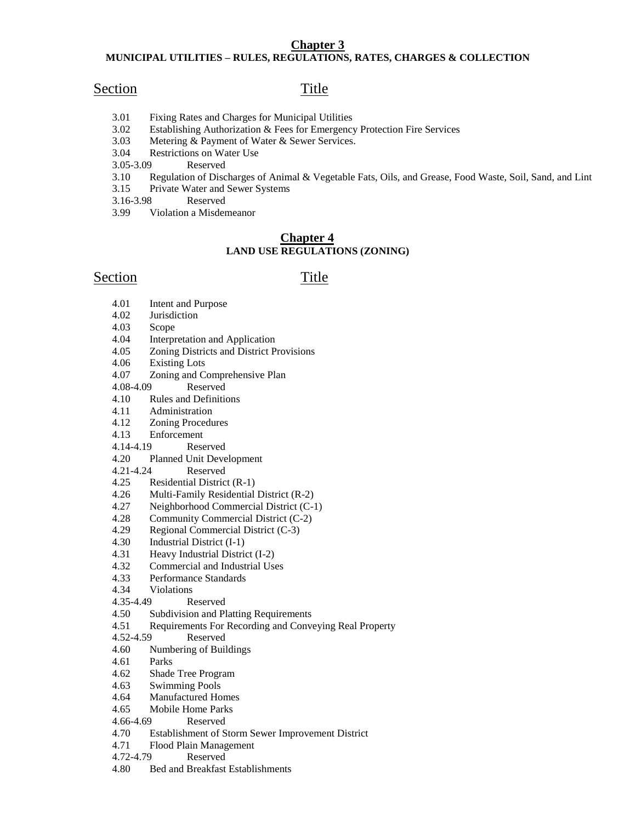# **Chapter 3**

### **MUNICIPAL UTILITIES – RULES, REGULATIONS, RATES, CHARGES & COLLECTION**

# Section Title

- 3.01 Fixing Rates and Charges for Municipal Utilities
- 3.02 Establishing Authorization & Fees for Emergency Protection Fire Services
- 3.03 Metering & Payment of Water & Sewer Services.
- 3.04 Restrictions on Water Use
- 3.05-3.09 Reserved
- 3.10 Regulation of Discharges of Animal & Vegetable Fats, Oils, and Grease, Food Waste, Soil, Sand, and Lint
- 3.15 Private Water and Sewer Systems
- 3.16-3.98 Reserved
- 3.99 Violation a Misdemeanor

# **Chapter 4 LAND USE REGULATIONS (ZONING)**

# Section Title

- 4.01 Intent and Purpose
- 4.02 Jurisdiction
- 4.03 Scope
- 4.04 Interpretation and Application
- 4.05 Zoning Districts and District Provisions
- 4.06 Existing Lots
- 4.07 Zoning and Comprehensive Plan
- 4.08-4.09 Reserved
- 4.10 Rules and Definitions
- 4.11 Administration
- 4.12 Zoning Procedures
- 4.13 Enforcement
- 4.14-4.19 Reserved
- 4.20 Planned Unit Development
- 4.21-4.24 Reserved
- 4.25 Residential District (R-1)
- 4.26 Multi-Family Residential District (R-2)
- 4.27 Neighborhood Commercial District (C-1)
- 4.28 Community Commercial District (C-2)
- 4.29 Regional Commercial District (C-3)<br>4.30 Industrial District (I-1)
- 4.30 Industrial District (I-1)
- 4.31 Heavy Industrial District (I-2)
- 4.32 Commercial and Industrial Uses
- 4.33 Performance Standards
- 4.34 Violations
- 4.35-4.49 Reserved
- 4.50 Subdivision and Platting Requirements
- 4.51 Requirements For Recording and Conveying Real Property
- 4.52-4.59 Reserved
- 4.60 Numbering of Buildings
- 4.61 Parks
- 4.62 Shade Tree Program
- 4.63 Swimming Pools
- 4.64 Manufactured Homes
- 4.65 Mobile Home Parks
- 4.66-4.69 Reserved
- 4.70 Establishment of Storm Sewer Improvement District
- 4.71 Flood Plain Management
- 4.72-4.79 Reserved
- 4.80 Bed and Breakfast Establishments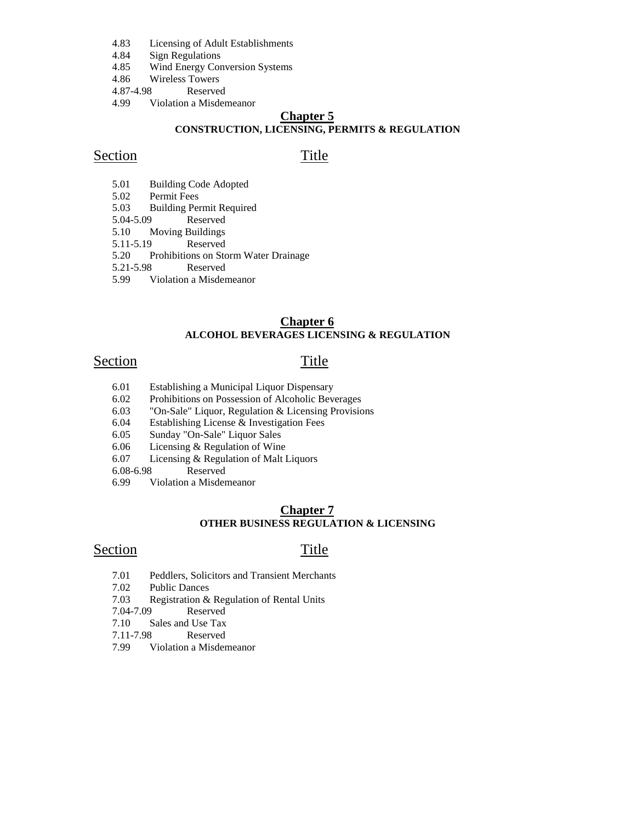- 4.83 Licensing of Adult Establishments
- 4.84 Sign Regulations
- 4.85 Wind Energy Conversion Systems
- 4.86 Wireless Towers
- 4.87-4.98 Reserved
- 4.99 Violation a Misdemeanor

# **Chapter 5 CONSTRUCTION, LICENSING, PERMITS & REGULATION**

# Section Title

- 5.01 Building Code Adopted
- 5.02 Permit Fees
- 5.03 Building Permit Required
- Reserved
- 5.10 Moving Buildings
- 5.11-5.19 Reserved
- 5.20 Prohibitions on Storm Water Drainage
- 5.21-5.98 Reserved
- 5.99 Violation a Misdemeanor

## **Chapter 6 ALCOHOL BEVERAGES LICENSING & REGULATION**

# Section Title

- 6.01 Establishing a Municipal Liquor Dispensary
- 6.02 Prohibitions on Possession of Alcoholic Beverages
- 6.03 "On-Sale" Liquor, Regulation & Licensing Provisions
- 6.04 Establishing License & Investigation Fees
- 6.05 Sunday "On-Sale" Liquor Sales
- 6.06 Licensing & Regulation of Wine
- 6.07 Licensing & Regulation of Malt Liquors
- 6.08-6.98 Reserved
- 6.99 Violation a Misdemeanor

### **Chapter 7 OTHER BUSINESS REGULATION & LICENSING**

# Section Title

- 7.01 Peddlers, Solicitors and Transient Merchants
- 7.02 Public Dances
- 7.03 Registration & Regulation of Rental Units
- 7.04-7.09 Reserved
- 7.10 Sales and Use Tax
- 7.11-7.98 Reserved
- 7.99 Violation a Misdemeanor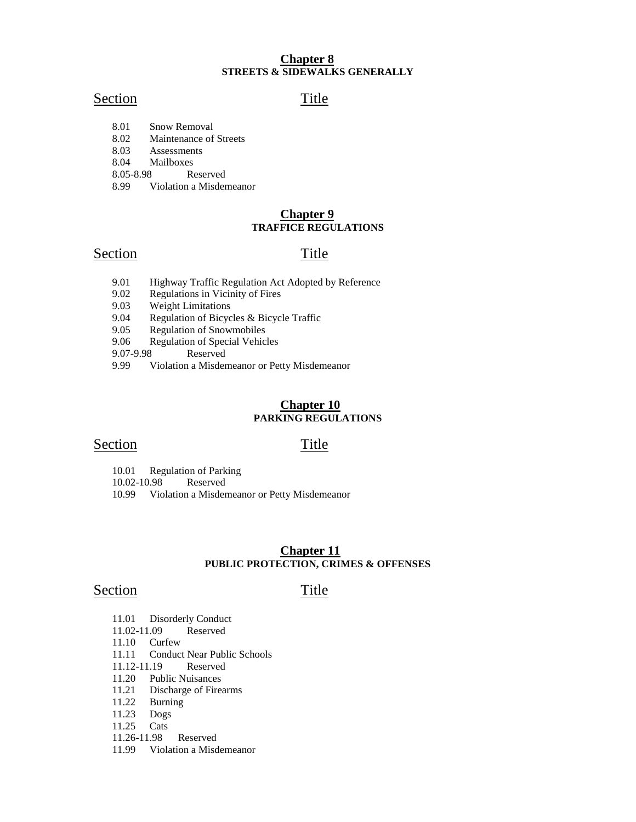# **Chapter 8 STREETS & SIDEWALKS GENERALLY**

# Section Title

- 8.01 Snow Removal
- 8.02 Maintenance of Streets
- 8.03 Assessments
- 8.04 Mailboxes
- 8.05-8.98 Reserved
- 8.99 Violation a Misdemeanor

### **Chapter 9 TRAFFICE REGULATIONS**

# Section Title

- 9.01 Highway Traffic Regulation Act Adopted by Reference
- 9.02 Regulations in Vicinity of Fires
- 9.03 Weight Limitations
- 9.04 Regulation of Bicycles & Bicycle Traffic
- 9.05 Regulation of Snowmobiles
- 9.06 Regulation of Special Vehicles
- 9.07-9.98 Reserved<br>9.99 Violation a Misder
- 9.99 Violation a Misdemeanor or Petty Misdemeanor

### **Chapter 10 PARKING REGULATIONS**

## Section Title

10.01 Regulation of Parking

10.02-10.98 Reserved

10.99 Violation a Misdemeanor or Petty Misdemeanor

### **Chapter 11 PUBLIC PROTECTION, CRIMES & OFFENSES**

# Section Title

- 11.01 Disorderly Conduct
- 11.02-11.09 Reserved
- 11.10 Curfew
- 11.11 Conduct Near Public Schools
- 11.12-11.19 Reserved
- 11.20 Public Nuisances<br>11.21 Discharge of Fire
- Discharge of Firearms
- 11.22 Burning
- 11.23 Dogs
- 11.25 Cats
- 11.26-11.98 Reserved
- 11.99 Violation a Misdemeanor